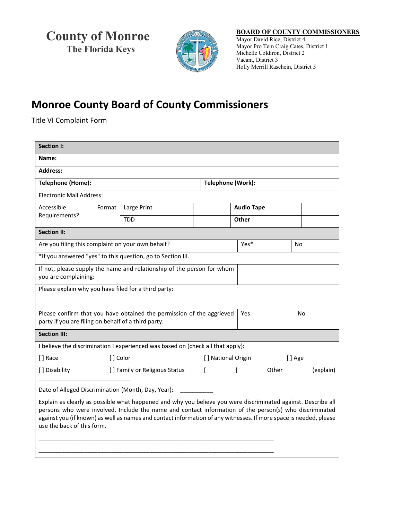**County of Monroe The Florida Keys**



## **BOARD OF COUNTY COMMISSIONERS** Mayor David Rice, District 4

 Mayor Pro Tem Craig Cates, District 1 Michelle Coldiron, District 2 Vacant, District 3 Holly Merrill Raschein, District 5

## **Monroe County Board of County Commissioners**

Title VI Complaint Form

| <b>Section I:</b>                                                                                                                                                                                                                                                                                                                                                          |                               |              |                              |                   |           |  |
|----------------------------------------------------------------------------------------------------------------------------------------------------------------------------------------------------------------------------------------------------------------------------------------------------------------------------------------------------------------------------|-------------------------------|--------------|------------------------------|-------------------|-----------|--|
| Name:                                                                                                                                                                                                                                                                                                                                                                      |                               |              |                              |                   |           |  |
| <b>Address:</b>                                                                                                                                                                                                                                                                                                                                                            |                               |              |                              |                   |           |  |
| <b>Telephone (Home):</b>                                                                                                                                                                                                                                                                                                                                                   |                               |              | Telephone (Work):            |                   |           |  |
| Electronic Mail Address:                                                                                                                                                                                                                                                                                                                                                   |                               |              |                              |                   |           |  |
| Accessible<br>Format                                                                                                                                                                                                                                                                                                                                                       | Large Print                   |              |                              | <b>Audio Tape</b> |           |  |
| Requirements?                                                                                                                                                                                                                                                                                                                                                              | <b>TDD</b>                    |              | Other                        |                   |           |  |
| <b>Section II:</b>                                                                                                                                                                                                                                                                                                                                                         |                               |              |                              |                   |           |  |
| Are you filing this complaint on your own behalf?                                                                                                                                                                                                                                                                                                                          |                               | Yes*         |                              | <b>No</b>         |           |  |
| *If you answered "yes" to this question, go to Section III.                                                                                                                                                                                                                                                                                                                |                               |              |                              |                   |           |  |
| If not, please supply the name and relationship of the person for whom<br>you are complaining:                                                                                                                                                                                                                                                                             |                               |              |                              |                   |           |  |
| Please explain why you have filed for a third party:                                                                                                                                                                                                                                                                                                                       |                               |              |                              |                   |           |  |
|                                                                                                                                                                                                                                                                                                                                                                            |                               |              |                              |                   |           |  |
| Please confirm that you have obtained the permission of the aggrieved<br>party if you are filing on behalf of a third party.                                                                                                                                                                                                                                               |                               | Yes          |                              | No                |           |  |
| <b>Section III:</b>                                                                                                                                                                                                                                                                                                                                                        |                               |              |                              |                   |           |  |
| I believe the discrimination I experienced was based on (check all that apply):                                                                                                                                                                                                                                                                                            |                               |              |                              |                   |           |  |
| [] Race                                                                                                                                                                                                                                                                                                                                                                    | [] Color                      |              | [] National Origin<br>[] Age |                   |           |  |
| [] Disability                                                                                                                                                                                                                                                                                                                                                              | [] Family or Religious Status | $\mathsf{L}$ | 1                            | Other             | (explain) |  |
| Date of Alleged Discrimination (Month, Day, Year): _                                                                                                                                                                                                                                                                                                                       |                               |              |                              |                   |           |  |
| Explain as clearly as possible what happened and why you believe you were discriminated against. Describe all<br>persons who were involved. Include the name and contact information of the person(s) who discriminated<br>against you (if known) as well as names and contact information of any witnesses. If more space is needed, please<br>use the back of this form. |                               |              |                              |                   |           |  |
|                                                                                                                                                                                                                                                                                                                                                                            |                               |              |                              |                   |           |  |